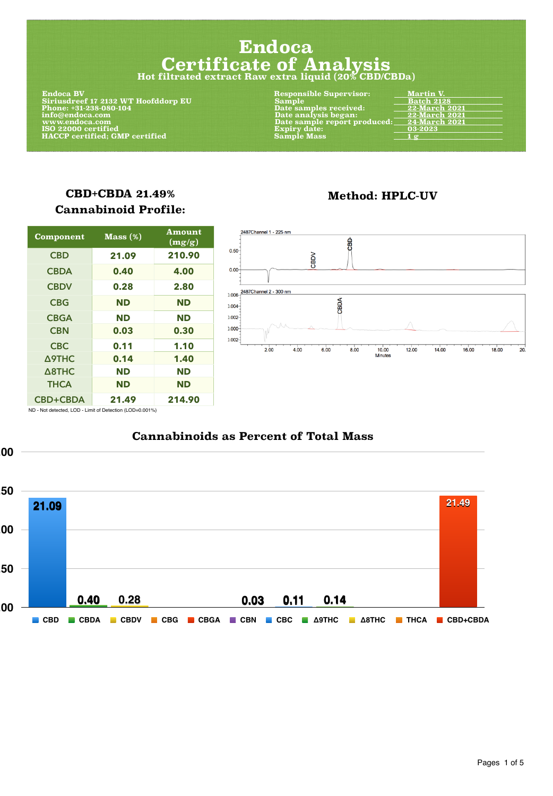#### **Cannabinoids as Percent of Total Mass**



### **CBD+CBDA 21.49% Cannabinoid Profile:**

| <b>Component</b> | Mass(%)   | <b>Amount</b><br>(mg/g) | 2487Channel 1 - 225 nm<br>爵                                                                   |
|------------------|-----------|-------------------------|-----------------------------------------------------------------------------------------------|
| <b>CBD</b>       | 21.09     | 210.90                  | $0.50 -$<br>CBDV                                                                              |
| <b>CBDA</b>      | 0.40      | 4.00                    | $0.00 -$                                                                                      |
| <b>CBDV</b>      | 0.28      | 2.80                    | $0.006 - \frac{2487C \text{hannel} 2 - 300 \text{ nm}}{2}$                                    |
| <b>CBG</b>       | <b>ND</b> | <b>ND</b>               | CBDA<br>$0.004 -$                                                                             |
| <b>CBGA</b>      | <b>ND</b> | <b>ND</b>               | $0.002 -$                                                                                     |
| <b>CBN</b>       | 0.03      | 0.30                    | A A<br>$0.000 -$                                                                              |
| <b>CBC</b>       | 0.11      | 1.10                    | $0.002 -$<br>20.<br>18.00<br>4.00<br>12.00<br>16.00<br>2.00<br>6.00<br>8.00<br>10.00<br>14.00 |
| <b>A9THC</b>     | 0.14      | 1.40                    | Minutes                                                                                       |
| A8THC            | <b>ND</b> | <b>ND</b>               |                                                                                               |
| <b>THCA</b>      | <b>ND</b> | <b>ND</b>               |                                                                                               |
| <b>CBD+CBDA</b>  | 21.49     | 214.90                  |                                                                                               |



### **Method: HPLC-UV**

Pages 1 of 5

ND - Not detected, LOD - Limit of Detection (LOD=0.001%)

# **Endoca Certificate of Analysis Hot filtrated extract Raw extra liquid (20% CBD/CBDa)**

| <b>Endoca BV</b>                      | <b>Responsible Supervisor:</b> | <b>Martin V.</b>     |
|---------------------------------------|--------------------------------|----------------------|
| Siriusdreef 17 2132 WT Hoofddorp EU   | <b>Sample</b>                  | <b>Batch 2128</b>    |
| Phone: +31-238-080-104                | Date samples received:         | <b>22-March 2021</b> |
| info@endoca.com                       | Date analysis began:           | <b>22-March 2021</b> |
| www.endoca.com                        | Date sample report produced:   | <b>24-March 2021</b> |
| ISO 22000 certified                   | <b>Expiry date:</b>            | 03-2023              |
| <b>HACCP certified; GMP certified</b> | <b>Sample Mass</b>             | $\angle$ 1 g         |
|                                       |                                |                      |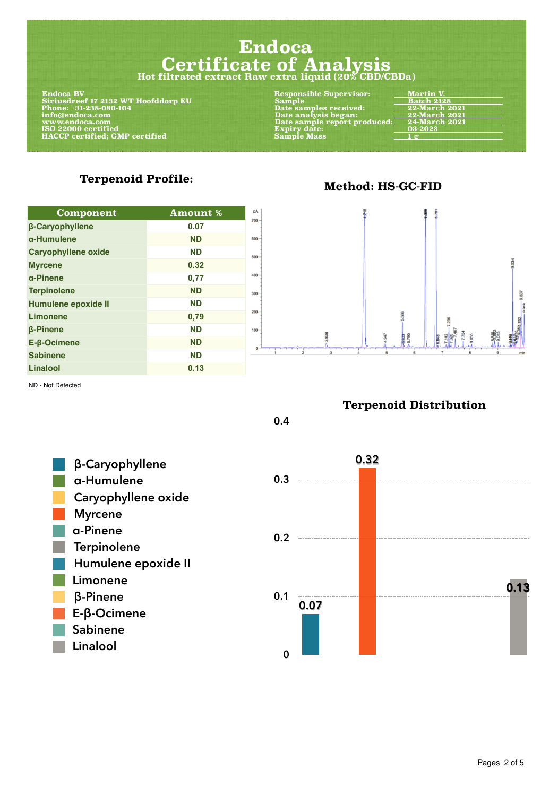#### **Terpenoid Profile:**

| <b>Component</b>              | <b>Amount %</b> |     |
|-------------------------------|-----------------|-----|
| <b>ß-Caryophyllene</b>        | 0.07            |     |
| a-Humulene                    | <b>ND</b>       |     |
| <b>Caryophyllene oxide</b>    | <b>ND</b>       | 500 |
| <b>Myrcene</b>                | 0.32            |     |
| a-Pinene                      | 0,77            |     |
| <b>Terpinolene</b>            | <b>ND</b>       | 300 |
| <b>Humulene epoxide II</b>    | <b>ND</b>       |     |
| <b>Limonene</b>               | 0,79            |     |
| <b><i><u>B-Pinene</u></i></b> | <b>ND</b>       |     |



Pages 2 of 5

#### **Method: HS-GC-FID**

## **Endoca Certificate of Analysis Hot filtrated extract Raw extra liquid (20% CBD/CBDa)**

| <b>Endoca BV</b>                      | Responsible Supervisor:      | <b>Martin V.</b>     |
|---------------------------------------|------------------------------|----------------------|
| Siriusdreef 17 2132 WT Hoofddorp EU   | <b>Sample</b>                | <b>Batch 2128</b>    |
| Phone: +31-238-080-104                | Date samples received:       | <b>22-March 2021</b> |
| info@endoca.com                       | Date analysis began:         | <b>22-March 2021</b> |
| www.endoca.com                        | Date sample report produced: | <b>24-March 2021</b> |
| ISO 22000 certified                   | <b>Expiry date:</b>          | 03-2023              |
| <b>HACCP</b> certified; GMP certified | <b>Sample Mass</b>           | $\frac{1}{2}$        |
|                                       |                              |                      |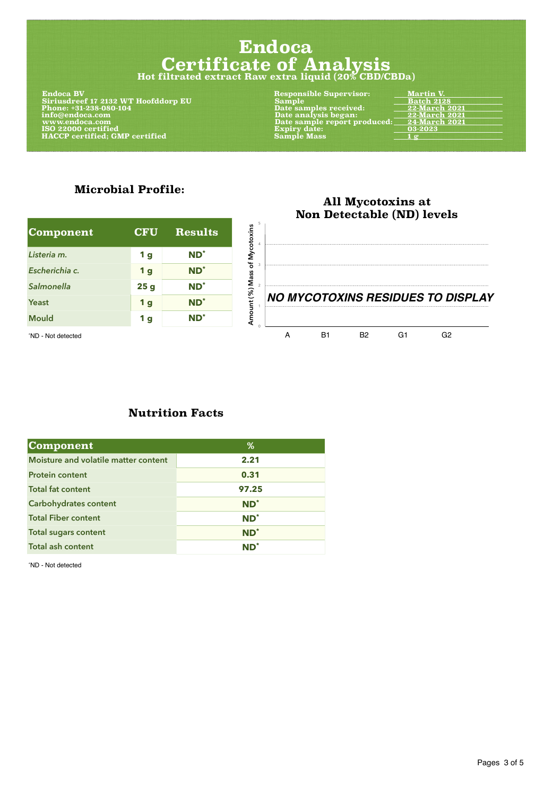### **All Mycotoxins at Non Detectable (ND) levels**

#### **Microbial Profile:**

| Component      | <b>CFU</b> | <b>Results</b>  |
|----------------|------------|-----------------|
| Listeria m.    | <b>1 g</b> | $ND^*$          |
| Escherichia c. | <b>1</b> g | $ND^*$          |
| Salmonella     | 25g        | $ND^*$          |
| Yeast          | <b>1</b> g | ND <sup>*</sup> |
| <b>Mould</b>   | <b>1 g</b> | $ND^*$          |

#### **Nutrition Facts**



| <b>Component</b>                            | $\%$   |
|---------------------------------------------|--------|
| <b>Moisture and volatile matter content</b> | 2.21   |
| <b>Protein content</b>                      | 0.31   |
| <b>Total fat content</b>                    | 97.25  |
| <b>Carbohydrates content</b>                | $ND^*$ |
| <b>Total Fiber content</b>                  | $ND^*$ |
| <b>Total sugars content</b>                 | $ND^*$ |
| <b>Total ash content</b>                    | $ND^*$ |

\*ND - Not detected

Pages 3 of 5

# **Endoca Certificate of Analysis Hot filtrated extract Raw extra liquid (20% CBD/CBDa)**

| <b>Endoca BV</b>                      | <b>Responsible Supervisor:</b> | <b>Martin V.</b>     |
|---------------------------------------|--------------------------------|----------------------|
| Siriusdreef 17 2132 WT Hoofddorp EU   | Sample                         | <b>Batch 2128</b>    |
| Phone: +31-238-080-104                | Date samples received:         | 22-March 2021        |
| info@endoca.com                       | Date analysis began:           | 22-March 2021        |
| www.endoca.com                        | Date sample report produced:   | <b>24-March 2021</b> |
| ISO 22000 certified                   | <b>Expiry date:</b>            | 03-2023              |
| <b>HACCP</b> certified; GMP certified | <b>Sample Mass</b>             | $\frac{1}{2}$        |
|                                       |                                |                      |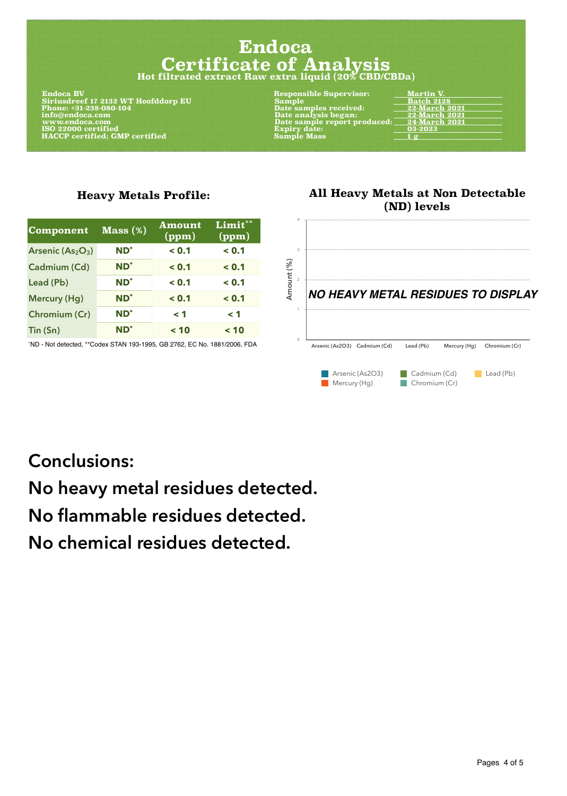### **All Heavy Metals at Non Detectable (ND) levels**

#### **Heavy Metals Profile:**

| <b>Component</b>     | Mass(%)         | <b>Amount</b><br>(ppm) | Limit**<br>(ppm) |
|----------------------|-----------------|------------------------|------------------|
| Arsenic $(As2O3)$    | $ND^*$          | < 0.1                  | < 0.1            |
| <b>Cadmium (Cd)</b>  | ND <sup>*</sup> | < 0.1                  | < 0.1            |
| Lead (Pb)            | $ND^*$          | < 0.1                  | < 0.1            |
| <b>Mercury (Hg)</b>  | ND <sup>*</sup> | < 0.1                  | < 0.1            |
| <b>Chromium (Cr)</b> | $ND^*$          | $\leq 1$               | $\leq 1$         |
| Tin (Sn)             | $ND^*$          | < 10                   | < 10             |



 **Endoca BV Responsible Supervisor: Martin V. Siriusdreef 17 2132 WT Hoofddorp EU Sample Batch 2128 Phone: +31-238-080-104 Date samples received: 22-March 2021 [info@endoca.com](mailto:info@endoca.com) Date analysis began: 22-March 2021 ISO 22000 certified** <br>  **Expiry date:**  $\overline{a}$  **Expiry date:**  $\overline{a}$  **1g**  $\overline{a}$  **Expiry date:**  $\overline{a}$  **1g**  $\overline{a}$  **HACCP** certified; GMP certified **Sample Mass** 3 ample Mass

**Date sample report produced:** Expiry date:

### **Conclusions:**

# **No heavy metal residues detected.**

### **No flammable residues detected.**

### **No chemical residues detected.**

Pages 4 of 5

## **Endoca Certificate of Analysis Hot filtrated extract Raw extra liquid (20% CBD/CBDa)**